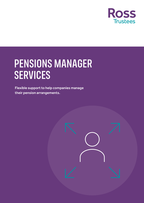

# PENSIONS MANAGER SERVICES

Flexible support to help companies manage their pension arrangements.

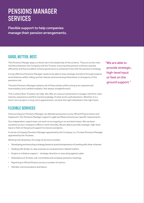## PENSIONS MANAGER **SERVICES**

Flexible support to help companies manage their pension arrangements.

## GOOD, BETTER, BEST.

The Pensions Manger plays a critical role in the leadership of the scheme. They act as the main interface between the Company and the Trustee, ensuring that pension schemes operate efficiently and that excellent scheme governance is achieved in line with the pensions strategy.

A truly effective Pensions Manager needs to be able to stay strategic and drive through projects and initiatives whilst rolling up their sleeves and immersing themselves in all aspects of the pensions mix.

The best Pensions Managers balance all of these duties whilst acting as an experienced intermediary and a skilled mediator. Not always straightforward.

This is where Ross Trustees can help. We offer an outsourced pensions manager with first-class industry experience and first-hand knowledge of what works well elsewhere. Whether it is a short-term project or long-term appointment, we have the right individual or the right team.

## FLEXIBLE SERVICES

Outsourcing your Pensions Manager can alleviate pressures on your HR and Finance teams and headcount. Our Pensions Manager support is agile and flexes around your specific requirements.

Our independent, expert team can work on an ongoing or on an interim basis. We can base ourselves at your company's office or work remotely. We are able to provide strategic, high-level input or feet on the ground support to resource projects.

It can be a Company Pensions Manager appointed by the Company, or a Trustee Pensions Manager appointed by the Trustees.

Working with all parties, the range of services includes:

- Developing and executing a strategy based on practical experience of working with other schemes
- Dealing with all day-to-day, business as usual pensions related matters
- Project or initiative support strategic direction or executing against a plan
- Attendance at Trustee, sub-committee and company pensions meetings
- Reporting to HR and Finance across a number of metrics
- Member communications and liaison.

"We are able to provide strategic, high-level input or feet on the ground support."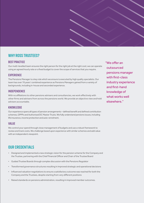## WHY ROSS TRUSTEES?

#### BEST PRACTICE

Our multi-levelled team ensures the right person for the right job at the right cost; we can operate using an agreed hourly rate or a fixed budget to cover the scope of services that you require.

#### **EXPERIENCE**

The Pensions Manager is a key role which we ensure is executed by high quality specialists. Our team has over 70 years' combined experience as Pensions Managers gained from a variety of backgrounds, including in-house and seconded experience.

#### INDEPENDENCE

With no affiliations to other pensions advisers and consultancies, we work effectively with other firms and advisers from across the pensions world. We provide an objective view and hold advisers accountable.

#### **KNOWLEDGE**

Our experience spans all types of pension arrangements – defined benefit and defined contribution schemes, GPPPs and Authorised DC Master Trusts. We fully understand pensions issues, including life insurance, income protection and auto-enrolment.

#### VALUE

We control your spend through close management of budgets and use a robust framework to review and track costs. We challenge based upon experience with similar schemes and add value with an independent viewpoint.

### OUR CREDENTIALS

- Designed and implemented a new strategic vision for the pension scheme for the Company and the Trustee, partnering with the Chief Financial Officer and Chair of the Trustee Board
- Guided Trustee Boards through complex discussion with the Pensions Regulator
- Transformed governance structures resulting in improved strategic and operational decisions
- Influenced valuation negotiations to ensure a satisfactory outcome was reached for both the Company and the Trustees, despite starting from very different positions
- Raised standards on pensions administration, resulting in improved member outcomes.

"We offer an outsourced pensions manager with first-class industry experience and first-hand knowledge of what works well elsewhere."